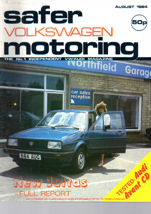